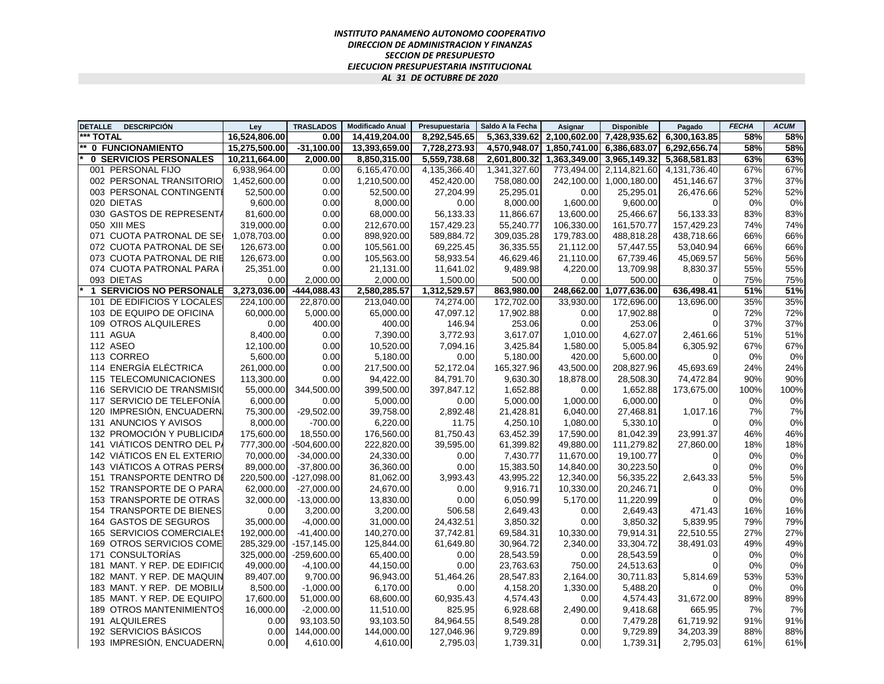## *INSTITUTO PANAMEÑO AUTONOMO COOPERATIVO DIRECCION DE ADMINISTRACION Y FINANZAS SECCION DE PRESUPUESTO EJECUCION PRESUPUESTARIA INSTITUCIONAL AL 31 DE OCTUBRE DE 2020*

| <b>DETALLE</b> | <b>DESCRIPCIÓN</b>              | Lev           | <b>TRASLADOS</b> | <b>Modificado Anual</b> | Presupuestaria | Saldo A la Fecha | Asignar      | <b>Disponible</b>         | Pagado       | <b>FECHA</b> | <b>ACUM</b> |
|----------------|---------------------------------|---------------|------------------|-------------------------|----------------|------------------|--------------|---------------------------|--------------|--------------|-------------|
| *** TOTAL      |                                 | 16.524.806.00 | 0.00             | 14,419,204.00           | 8,292,545.65   | 5.363.339.62     | 2.100.602.00 | 7.428.935.62              | 6.300.163.85 | 58%          | 58%         |
|                | 0 FUNCIONAMIENTO                | 15,275,500.00 | $-31,100.00$     | 13,393,659.00           | 7,728,273.93   | 4,570,948.07     | 1,850,741.00 | 6,386,683.07              | 6,292,656.74 | 58%          | 58%         |
|                | 0 SERVICIOS PERSONALES          | 10,211,664.00 | 2,000.00         | 8,850,315.00            | 5,559,738.68   | 2,601,800.32     |              | 1,363,349.00 3,965,149.32 | 5,368,581.83 | 63%          | 63%         |
|                | 001 PERSONAL FIJO               | 6,938,964.00  | 0.00             | 6,165,470.00            | 4,135,366.40   | 1,341,327.60     | 773,494.00   | 2,114,821.60              | 4,131,736.40 | 67%          | 67%         |
|                | 002 PERSONAL TRANSITORIO        | 1,452,600.00  | 0.00             | 1,210,500.00            | 452,420.00     | 758,080.00       |              | 242,100.00 1,000,180.00   | 451,146.67   | 37%          | 37%         |
|                | 003 PERSONAL CONTINGENTE        | 52,500.00     | 0.00             | 52,500.00               | 27,204.99      | 25,295.01        | 0.00         | 25,295.01                 | 26,476.66    | 52%          | 52%         |
|                | 020 DIETAS                      | 9,600.00      | 0.00             | 8,000.00                | 0.00           | 8,000.00         | 1,600.00     | 9,600.00                  | $\Omega$     | 0%           | 0%          |
|                | 030 GASTOS DE REPRESENTA        | 81,600.00     | 0.00             | 68,000.00               | 56.133.33      | 11,866.67        | 13,600.00    | 25.466.67                 | 56,133.33    | 83%          | 83%         |
|                | 050 XIII MES                    | 319,000.00    | 0.00             | 212,670.00              | 157,429.23     | 55,240.77        | 106,330.00   | 161,570.77                | 157,429.23   | 74%          | 74%         |
|                | 071 CUOTA PATRONAL DE SE        | 1,078,703.00  | 0.00             | 898,920.00              | 589,884.72     | 309,035.28       | 179,783.00   | 488,818.28                | 438,718.66   | 66%          | 66%         |
|                | 072 CUOTA PATRONAL DE SE        | 126,673.00    | 0.00             | 105,561.00              | 69,225.45      | 36,335.55        | 21,112.00    | 57,447.55                 | 53,040.94    | 66%          | 66%         |
|                | 073 CUOTA PATRONAL DE RIE       | 126,673.00    | 0.00             | 105,563.00              | 58,933.54      | 46,629.46        | 21,110.00    | 67,739.46                 | 45,069.57    | 56%          | 56%         |
|                | 074 CUOTA PATRONAL PARA         | 25,351.00     | 0.00             | 21,131.00               | 11,641.02      | 9,489.98         | 4,220.00     | 13,709.98                 | 8,830.37     | 55%          | 55%         |
|                | 093 DIETAS                      | 0.00          | 2,000.00         | 2,000.00                | 1,500.00       | 500.00           | 0.00         | 500.00                    | $\Omega$     | 75%          | 75%         |
|                | <b>1 SERVICIOS NO PERSONALE</b> | 3,273,036.00  | $-444,088.43$    | 2,580,285.57            | 1,312,529.57   | 863,980.00       | 248,662.00   | 1,077,636.00              | 636,498.41   | 51%          | 51%         |
|                | 101 DE EDIFICIOS Y LOCALES      | 224,100.00    | 22,870.00        | 213,040.00              | 74,274.00      | 172,702.00       | 33,930.00    | 172,696.00                | 13,696.00    | 35%          | 35%         |
|                | 103 DE EQUIPO DE OFICINA        | 60,000.00     | 5,000.00         | 65,000.00               | 47,097.12      | 17,902.88        | 0.00         | 17,902.88                 | 0            | 72%          | 72%         |
|                | 109 OTROS ALQUILERES            | 0.00          | 400.00           | 400.00                  | 146.94         | 253.06           | 0.00         | 253.06                    | $\Omega$     | 37%          | 37%         |
|                | 111 AGUA                        | 8,400.00      | 0.00             | 7,390.00                | 3,772.93       | 3,617.07         | 1,010.00     | 4,627.07                  | 2,461.66     | 51%          | 51%         |
|                | 112 ASEO                        | 12,100.00     | 0.00             | 10,520.00               | 7,094.16       | 3,425.84         | 1,580.00     | 5,005.84                  | 6,305.92     | 67%          | 67%         |
|                | 113 CORREO                      | 5,600.00      | 0.00             | 5,180.00                | 0.00           | 5,180.00         | 420.00       | 5,600.00                  | 0            | 0%           | 0%          |
|                | 114 ENERGÍA ELÉCTRICA           | 261,000.00    | 0.00             | 217,500.00              | 52,172.04      | 165,327.96       | 43,500.00    | 208,827.96                | 45,693.69    | 24%          | 24%         |
|                | <b>115 TELECOMUNICACIONES</b>   | 113,300.00    | 0.00             | 94,422.00               | 84,791.70      | 9,630.30         | 18.878.00    | 28.508.30                 | 74,472.84    | 90%          | 90%         |
|                | 116 SERVICIO DE TRANSMISIO      | 55,000.00     | 344,500.00       | 399,500.00              | 397,847.12     | 1,652.88         | 0.00         | 1,652.88                  | 173,675.00   | 100%         | 100%        |
|                | 117 SERVICIO DE TELEFONÍA       | 6,000.00      | 0.00             | 5,000.00                | 0.00           | 5,000.00         | 1,000.00     | 6,000.00                  | $\Omega$     | 0%           | 0%          |
|                | 120 IMPRESIÓN, ENCUADERN,       | 75,300.00     | $-29,502.00$     | 39,758.00               | 2,892.48       | 21,428.81        | 6,040.00     | 27,468.81                 | 1,017.16     | 7%           | 7%          |
|                | 131 ANUNCIOS Y AVISOS           | 8,000.00      | $-700.00$        | 6,220.00                | 11.75          | 4,250.10         | 1,080.00     | 5,330.10                  | 0            | 0%           | $0\%$       |
|                | 132 PROMOCIÓN Y PUBLICIDA       | 175,600.00    | 18.550.00        | 176.560.00              | 81,750.43      | 63.452.39        | 17.590.00    | 81.042.39                 | 23.991.37    | 46%          | 46%         |
|                | 141 VIATICOS DENTRO DEL P.      | 777,300.00    | $-504,600.00$    | 222,820.00              | 39,595.00      | 61,399.82        | 49,880.00    | 111,279.82                | 27,860.00    | 18%          | 18%         |
|                | 142 VIATICOS EN EL EXTERIO      | 70,000.00     | $-34,000.00$     | 24,330.00               | 0.00           | 7,430.77         | 11,670.00    | 19,100.77                 | 0            | 0%           | 0%          |
|                | 143 VIÁTICOS A OTRAS PERS       | 89,000.00     | $-37,800.00$     | 36,360.00               | 0.00           | 15,383.50        | 14,840.00    | 30,223.50                 | 0            | 0%           | 0%          |
|                | 151 TRANSPORTE DENTRO DI        | 220,500.00    | $-127,098.00$    | 81,062.00               | 3,993.43       | 43,995.22        | 12,340.00    | 56,335.22                 | 2,643.33     | 5%           | 5%          |
|                | 152 TRANSPORTE DE O PARA        | 62,000.00     | $-27.000.00$     | 24,670.00               | 0.00           | 9.916.71         | 10,330.00    | 20.246.71                 | 0            | 0%           | 0%          |
|                | 153 TRANSPORTE DE OTRAS         | 32,000.00     | $-13,000.00$     | 13,830.00               | 0.00           | 6,050.99         | 5,170.00     | 11,220.99                 | $\Omega$     | 0%           | 0%          |
|                | 154 TRANSPORTE DE BIENES        | 0.00          | 3,200.00         | 3,200.00                | 506.58         | 2,649.43         | 0.00         | 2,649.43                  | 471.43       | 16%          | 16%         |
|                | 164 GASTOS DE SEGUROS           | 35,000.00     | $-4,000.00$      | 31,000.00               | 24,432.51      | 3,850.32         | 0.00         | 3,850.32                  | 5,839.95     | 79%          | 79%         |
|                | 165 SERVICIOS COMERCIALES       | 192,000.00    | $-41,400.00$     | 140,270.00              | 37,742.81      | 69,584.31        | 10,330.00    | 79,914.31                 | 22,510.55    | 27%          | 27%         |
|                | 169 OTROS SERVICIOS COME        | 285,329.00    | $-157, 145.00$   | 125,844.00              | 61,649.80      | 30,964.72        | 2,340.00     | 33,304.72                 | 38,491.03    | 49%          | 49%         |
|                | 171 CONSULTORÍAS                | 325,000.00    | $-259,600.00$    | 65,400.00               | 0.00           | 28,543.59        | 0.00         | 28,543.59                 | 0            | 0%           | 0%          |
|                | 181 MANT. Y REP. DE EDIFICIO    | 49,000.00     | $-4,100.00$      | 44,150.00               | 0.00           | 23,763.63        | 750.00       | 24,513.63                 | 0            | 0%           | 0%          |
|                | 182 MANT. Y REP. DE MAQUIN      | 89,407.00     | 9,700.00         | 96,943.00               | 51,464.26      | 28,547.83        | 2,164.00     | 30,711.83                 | 5,814.69     | 53%          | 53%         |
|                | 183 MANT. Y REP. DE MOBILI      | 8,500.00      | $-1,000.00$      | 6,170.00                | 0.00           | 4,158.20         | 1,330.00     | 5,488.20                  | 0            | 0%           | 0%          |
|                | 185 MANT. Y REP. DE EQUIPO      | 17,600.00     | 51,000.00        | 68,600.00               | 60,935.43      | 4,574.43         | 0.00         | 4,574.43                  | 31,672.00    | 89%          | 89%         |
|                | <b>189 OTROS MANTENIMIENTOS</b> | 16,000.00     | $-2,000.00$      | 11,510.00               | 825.95         | 6,928.68         | 2,490.00     | 9,418.68                  | 665.95       | 7%           | 7%          |
|                | 191 ALQUILERES                  | 0.00          | 93,103.50        | 93,103.50               | 84,964.55      | 8,549.28         | 0.00         | 7,479.28                  | 61,719.92    | 91%          | 91%         |
|                | 192 SERVICIOS BÁSICOS           | 0.00          | 144,000.00       | 144,000.00              | 127,046.96     | 9,729.89         | 0.00         | 9,729.89                  | 34,203.39    | 88%          | 88%         |
|                | 193 IMPRESIÓN, ENCUADERN,       | 0.00          | 4,610.00         | 4,610.00                | 2,795.03       | 1,739.31         | 0.00         | 1,739.31                  | 2,795.03     | 61%          | 61%         |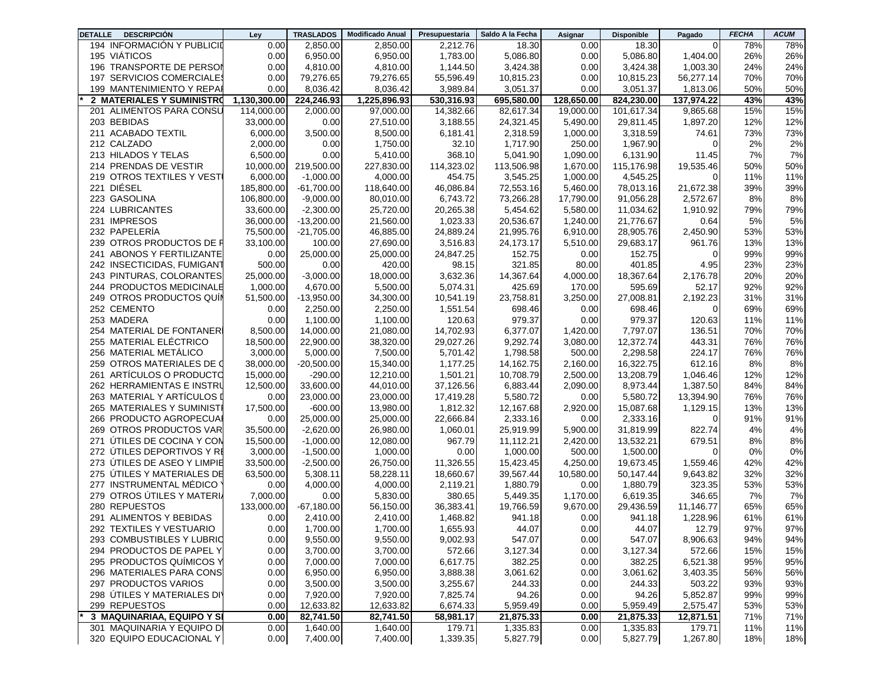| <b>DESCRIPCIÓN</b><br><b>DETALLE</b>        | Ley          | <b>TRASLADOS</b> | <b>Modificado Anual</b> | Presupuestaria       | Saldo A la Fecha   | Asignar      | <b>Disponible</b>  | Pagado              | <b>FECHA</b> | <b>ACUM</b> |
|---------------------------------------------|--------------|------------------|-------------------------|----------------------|--------------------|--------------|--------------------|---------------------|--------------|-------------|
| 194 INFORMACIÓN Y PUBLICID                  | 0.00         | 2,850.00         | 2,850.00                | 2,212.76             | 18.30              | 0.00         | 18.30              | 0                   | 78%          | 78%         |
| 195 VIÁTICOS                                | 0.00         | 6,950.00         | 6,950.00                | 1,783.00             | 5,086.80           | 0.00         | 5,086.80           | 1,404.00            | 26%          | 26%         |
| 196 TRANSPORTE DE PERSOI                    | 0.00         | 4,810.00         | 4,810.00                | 1,144.50             | 3,424.38           | 0.00         | 3,424.38           | 1,003.30            | 24%          | 24%         |
| 197 SERVICIOS COMERCIALE                    | 0.00         | 79,276.65        | 79,276.65               | 55,596.49            | 10,815.23          | 0.00         | 10,815.23          | 56,277.14           | 70%          | 70%         |
| 199 MANTENIMIENTO Y REPA                    | 0.00         | 8,036.42         | 8,036.42                | 3,989.84             | 3,051.37           | 0.00         | 3,051.37           | 1,813.06            | 50%          | 50%         |
| 2 MATERIALES Y SUMINISTRO                   | 1,130,300.00 | 224,246.93       | 1,225,896.93            | 530,316.93           | 695,580.00         | 128,650,00   | 824,230.00         | 137,974.22          | 43%          | 43%         |
| 201 ALIMENTOS PARA CONSU                    | 114,000.00   | 2,000.00         | 97,000.00               | 14,382.66            | 82,617.34          | 19,000.00    | 101,617.34         | 9,865.68            | 15%          | 15%         |
| 203 BEBIDAS                                 | 33,000.00    | 0.00             | 27,510.00               | 3,188.55             | 24,321.45          | 5,490.00     | 29,811.45          | 1,897.20            | 12%          | 12%         |
| 211 ACABADO TEXTIL                          | 6,000.00     | 3,500.00         | 8,500.00                | 6,181.41             | 2,318.59           | 1,000.00     | 3,318.59           | 74.61               | 73%          | 73%         |
| 212 CALZADO                                 | 2,000.00     | 0.00             | 1,750.00                | 32.10                | 1,717.90           | 250.00       | 1,967.90           | 0                   | 2%           | 2%          |
| 213 HILADOS Y TELAS                         | 6,500.00     | 0.00             | 5,410.00                | 368.10               | 5,041.90           | 1.090.00     | 6,131.90           | 11.45               | 7%           | 7%          |
| 214 PRENDAS DE VESTIR                       | 10,000.00    | 219,500.00       | 227,830.00              | 114,323.02           | 113,506.98         | 1,670.00     | 115,176.98         | 19,535.46           | 50%          | 50%         |
| 219 OTROS TEXTILES Y VEST                   | 6,000.00     | $-1,000.00$      | 4.000.00                | 454.75               | 3,545.25           | 1,000.00     | 4,545.25           | 0                   | 11%          | 11%         |
| 221 DIÉSEL                                  | 185,800.00   | $-61.700.00$     | 118,640.00              | 46.086.84            | 72,553.16          | 5,460.00     | 78.013.16          | 21,672.38           | 39%          | 39%         |
| 223 GASOLINA                                | 106,800.00   | $-9,000.00$      | 80,010.00               | 6,743.72             | 73,266.28          | 17,790.00    | 91,056.28          | 2,572.67            | 8%           | 8%          |
| 224 LUBRICANTES                             | 33,600.00    | $-2,300.00$      | 25,720.00               | 20,265.38            | 5,454.62           | 5,580.00     | 11,034.62          | 1,910.92            | 79%          | 79%         |
| 231 IMPRESOS                                | 36,000.00    | $-13,200.00$     | 21,560.00               | 1,023.33             | 20,536.67          | 1,240.00     | 21,776.67          | 0.64                | 5%           | 5%          |
| 232 PAPELERÍA                               | 75,500.00    | $-21,705.00$     | 46,885.00               | 24,889.24            | 21,995.76          | 6,910.00     | 28,905.76          | 2,450.90            | 53%          | 53%         |
| 239 OTROS PRODUCTOS DE F                    | 33,100.00    | 100.00           | 27,690.00               | 3,516.83             | 24,173.17          | 5,510.00     | 29,683.17          | 961.76              | 13%          | 13%         |
| 241 ABONOS Y FERTILIZANTE                   | 0.00         | 25,000.00        | 25,000.00               | 24,847.25            | 152.75             | 0.00         | 152.75             | 0                   | 99%          | 99%         |
| 242 INSECTICIDAS, FUMIGANT                  | 500.00       | 0.00             | 420.00                  | 98.15                | 321.85             | 80.00        | 401.85             | 4.95                | 23%          | 23%         |
| 243 PINTURAS, COLORANTES                    | 25,000.00    | $-3,000.00$      | 18,000.00               | 3,632.36             | 14,367.64          | 4,000.00     | 18,367.64          | 2,176.78            | 20%          | 20%         |
| 244 PRODUCTOS MEDICINALE                    | 1,000.00     | 4,670.00         | 5,500.00                | 5,074.31             | 425.69             | 170.00       | 595.69             | 52.17               | 92%          | 92%         |
| 249 OTROS PRODUCTOS QUI                     | 51,500.00    | $-13,950.00$     | 34,300.00               | 10,541.19            | 23,758.81          | 3,250.00     | 27,008.81          | 2,192.23            | 31%          | 31%         |
| 252 CEMENTO                                 | 0.00         | 2.250.00         | 2,250.00                | 1,551.54             | 698.46             | 0.00         | 698.46             | 0                   | 69%          | 69%         |
| 253 MADERA                                  | 0.00         | 1,100.00         | 1,100.00                | 120.63               | 979.37             | 0.00         | 979.37             | 120.63              | 11%          | 11%         |
| 254 MATERIAL DE FONTANER                    | 8,500.00     | 14,000.00        | 21,080.00               | 14,702.93            | 6,377.07           | 1,420.00     | 7,797.07           | 136.51              | 70%          | 70%         |
| 255 MATERIAL ELÉCTRICO                      | 18,500.00    | 22,900.00        | 38,320.00               | 29,027.26            | 9,292.74           | 3,080.00     | 12,372.74          | 443.31              | 76%          | 76%         |
| 256 MATERIAL METÁLICO                       | 3,000.00     | 5,000.00         | 7,500.00                | 5,701.42             | 1,798.58           | 500.00       | 2,298.58           | 224.17              | 76%          | 76%         |
| 259 OTROS MATERIALES DE C                   | 38,000.00    | $-20,500.00$     | 15,340.00               | 1,177.25             | 14,162.75          | 2,160.00     | 16,322.75          | 612.16              | 8%           | 8%          |
| 261 ARTÍCULOS O PRODUCTO                    | 15,000.00    | $-290.00$        | 12,210.00               | 1,501.21             | 10,708.79          | 2,500.00     | 13,208.79          | 1,046.46            | 12%          | 12%         |
| 262 HERRAMIENTAS E INSTRI                   | 12,500.00    | 33,600.00        | 44,010.00               | 37,126.56            | 6,883.44           | 2,090.00     | 8,973.44           | 1,387.50            | 84%          | 84%         |
| 263 MATERIAL Y ARTÍCULOS I                  | 0.00         | 23,000.00        | 23,000.00               | 17,419.28            | 5,580.72           | 0.00         | 5,580.72           | 13,394.90           | 76%          | 76%         |
| 265 MATERIALES Y SUMINIST                   | 17,500.00    | $-600.00$        | 13,980.00               | 1,812.32             | 12,167.68          | 2,920.00     | 15,087.68          | 1,129.15            | 13%          | 13%         |
| 266 PRODUCTO AGROPECUA                      | 0.00         | 25,000.00        | 25,000.00               | 22,666.84            | 2,333.16           | 0.00         | 2,333.16           | 0                   | 91%          | 91%         |
| 269 OTROS PRODUCTOS VAR                     | 35,500.00    | $-2,620.00$      | 26,980.00               | 1,060.01             | 25,919.99          | 5,900.00     | 31,819.99          | 822.74              | 4%           | 4%          |
| 271 ÚTILES DE COCINA Y CON                  | 15,500.00    | $-1,000.00$      | 12,080.00               | 967.79               | 11,112.21          | 2,420.00     | 13,532.21          | 679.51              | 8%           | 8%          |
| 272 ÚTILES DEPORTIVOS Y R                   | 3,000.00     | $-1,500.00$      | 1,000.00                | 0.00                 | 1,000.00           | 500.00       | 1,500.00           | 0                   | 0%           | 0%          |
| 273 ÚTILES DE ASEO Y LIMPIE                 | 33,500.00    | $-2,500.00$      | 26,750.00               | 11,326.55            | 15,423.45          | 4,250.00     | 19,673.45          | 1.559.46            | 42%          | 42%         |
| 275 ÚTILES Y MATERIALES DE                  | 63,500.00    | 5,308.11         | 58,228.11               | 18,660.67            | 39,567.44          | 10,580.00    | 50,147.44          | 9,643.82            | 32%          | 32%         |
| 277 INSTRUMENTAL MÉDICO                     | 0.00         | 4,000.00         | 4,000.00                | 2,119.21             | 1,880.79           | 0.00         | 1,880.79           | 323.35              | 53%          | 53%         |
| 279 OTROS ÚTILES Y MATERI.                  | 7,000.00     | 0.00             | 5,830.00                | 380.65               | 5,449.35           | 1,170.00     | 6,619.35           | 346.65              | 7%           | 7%          |
| 280 REPUESTOS                               | 133,000.00   | $-67,180.00$     | 56,150.00               | 36,383.41            | 19,766.59          | 9,670.00     | 29,436.59          | 11,146.77           | 65%          | 65%         |
| 291 ALIMENTOS Y BEBIDAS                     | 0.00         | 2,410.00         | 2,410.00                | 1,468.82             | 941.18             | 0.00         | 941.18             | 1,228.96            | 61%          | 61%         |
| 292 TEXTILES Y VESTUARIO                    | 0.00         | 1,700.00         | 1,700.00                | 1,655.93             | 44.07              | 0.00         | 44.07              | 12.79               | 97%          | 97%         |
| 293 COMBUSTIBLES Y LUBRIO                   | 0.00         | 9,550.00         | 9,550.00                | 9,002.93             | 547.07             | 0.00         | 547.07             | 8,906.63            | J 170<br>94% | 94%         |
| 294 PRODUCTOS DE PAPEL Y                    | 0.00         | 3,700.00         | 3,700.00                | 572.66               | 3,127.34           | 0.00         | 3,127.34           | 572.66              | 15%          | 15%         |
| 295 PRODUCTOS QUIMICOS Y                    | 0.00         | 7,000.00         | 7,000.00                | 6,617.75             | 382.25             | 0.00         | 382.25             | 6,521.38            | 95%          | 95%         |
| 296 MATERIALES PARA CONS                    |              | 6,950.00         | 6,950.00                |                      |                    | 0.00         |                    | 3,403.35            | 56%          |             |
| 297 PRODUCTOS VARIOS                        | 0.00<br>0.00 | 3,500.00         | 3,500.00                | 3,888.38<br>3,255.67 | 3,061.62<br>244.33 | 0.00         | 3,061.62<br>244.33 | 503.22              | 93%          | 56%<br>93%  |
| 298 ÚTILES Y MATERIALES DI'                 |              | 7,920.00         | 7,920.00                | 7,825.74             | 94.26              |              | 94.26              | 5,852.87            | 99%          | 99%         |
|                                             | 0.00<br>0.00 | 12,633.82        | 12,633.82               |                      | 5,959.49           | 0.00<br>0.00 | 5,959.49           |                     | 53%          |             |
| 299 REPUESTOS<br>3 MAQUINARIAA, EQUIPO Y SI | 0.00         | 82,741.50        | 82,741.50               | 6,674.33             | 21,875.33          | 0.00         | 21,875.33          | 2,575.47            | 71%          | 53%<br>71%  |
| 301 MAQUINARIA Y EQUIPO DI                  |              |                  |                         | 58,981.17            |                    |              |                    | 12,871.51<br>179.71 |              |             |
| 320 EQUIPO EDUCACIONAL Y                    | 0.00<br>0.00 | 1,640.00         | 1,640.00                | 179.71               | 1,335.83           | 0.00         | 1,335.83           |                     | 11%          | 11%         |
|                                             |              | 7,400.00         | 7,400.00                | 1,339.35             | 5,827.79           | 0.00         | 5,827.79           | 1,267.80            | 18%          | 18%         |